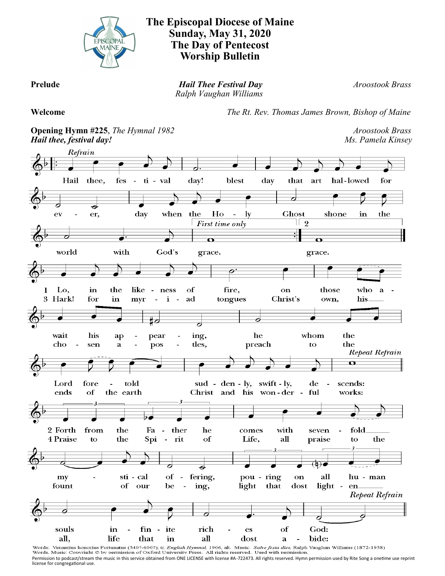

# **The Episcopal Diocese of Maine Sunday, May 31, 2020 The Day of Pentecost Worship Bulletin**

**Prelude** *Hail Thee Festival Day Aroostook Brass Ralph Vaughan Williams*

**Welcome** *The Rt. Rev. Thomas James Brown, Bishop of Maine*

**Opening Hymn #225**, *The Hymnal 1982**Aroostook Brass Hail thee, festival day! Ms. Pamela Kinsey* Refrain Hail thee, fes ti - val day! blest day that art hal-lowed for d ◢ Ho the day when the  $\mathbf{I} \mathbf{v}$ Ghost shone in ev er,  $\mathbb{H}$  $\overline{2}$ First time only  $\overline{\mathbf{O}}$  $\overline{\mathbf{O}}$ with God's world grace. grace.  $\overline{\rho^{\cdot}}$ Lo. in the like - ness of fire, those who <sub>a</sub> 1 on 3 Hark! for in myr  $\overline{a}$  $\mathbf i$  $\sim$ ad tongues Christ's own, his ۰ z  $\epsilon$ pear whom the wait his ap ing, he the cho sen a tles, preach to L. pos Repeat Refrain  $\bullet$ sud - den - ly, swift - ly, Lord fore told  ${\rm d}{\rm e}$  $\overline{a}$ scends: ends of the earth Christ and his won-der ful works:  $\overline{\phantom{a}}$ 2 Forth from the Fa ther he with fold.  $\overline{\phantom{a}}$ comes seven  $\overline{a}$ 4 Praise to the Spi  $\overline{\phantom{a}}$ rit Οf Life,  $all$ praise to the 3 (中)● ▱ fering,  $all$ my sti - cal of pou - ring on hu - man  $\overline{\phantom{a}}$ fount be light that  $\bf{dost}$ light of our  $\overline{a}$ ing, en. Repeat Refrain  $\operatorname{\textbf{in}}$ ite rich God: souls  $fin$ of es all. life  $a$ ll dost bide: that in  $\mathbf{a}$  $\tilde{\phantom{a}}$ 

Words: Venantius honorius Fortunatus (540?-600?); tr. English Hymnal, 1906, alt. Music: Salve festa dies, Ralph Vaughan Williams (1872-1958) Words, Music: Copyright @ by permission of Oxford University Press. All rights reserved. Used with permission. Permission to podcast/stream the music in this service obtained from ONE LICENSE with license #A-722473. All rights reserved. Hymn permission used by Rite Song a onetime use reprint license for congregational use.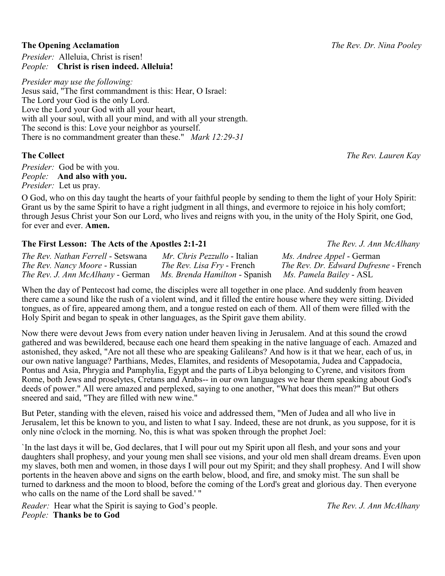### **The Opening Acclamation** *The Rev. Dr. Nina Pooley*

*Presider:* Alleluia, Christ is risen! *People:* **Christ is risen indeed. Alleluia!**

*Presider may use the following:* Jesus said, "The first commandment is this: Hear, O Israel: The Lord your God is the only Lord. Love the Lord your God with all your heart, with all your soul, with all your mind, and with all your strength. The second is this: Love your neighbor as yourself. There is no commandment greater than these." *Mark 12:29-31*

*Presider:* God be with you. *People:* **And also with you.** *Presider:* Let us pray.

O God, who on this day taught the hearts of your faithful people by sending to them the light of your Holy Spirit: Grant us by the same Spirit to have a right judgment in all things, and evermore to rejoice in his holy comfort; through Jesus Christ your Son our Lord, who lives and reigns with you, in the unity of the Holy Spirit, one God, for ever and ever. **Amen.**

# **The First Lesson: The Acts of the Apostles 2:1-21** *The Rev. J. Ann McAlhany*

*The Rev. Nathan Ferrell* - Setswana *Mr. Chris Pezzullo* - Italian *Ms. Andree Appel* - German *The Rev. Nancy Moore* - Russian *The Rev. Lisa Fry* - French *The Rev. Dr. Edward Dufresne* - French *The Rev. J. Ann McAlhany* - German *Ms. Brenda Hamilton* - Spanish *Ms. Pamela Bailey* - ASL

When the day of Pentecost had come, the disciples were all together in one place. And suddenly from heaven there came a sound like the rush of a violent wind, and it filled the entire house where they were sitting. Divided tongues, as of fire, appeared among them, and a tongue rested on each of them. All of them were filled with the Holy Spirit and began to speak in other languages, as the Spirit gave them ability.

Now there were devout Jews from every nation under heaven living in Jerusalem. And at this sound the crowd gathered and was bewildered, because each one heard them speaking in the native language of each. Amazed and astonished, they asked, "Are not all these who are speaking Galileans? And how is it that we hear, each of us, in our own native language? Parthians, Medes, Elamites, and residents of Mesopotamia, Judea and Cappadocia, Pontus and Asia, Phrygia and Pamphylia, Egypt and the parts of Libya belonging to Cyrene, and visitors from Rome, both Jews and proselytes, Cretans and Arabs-- in our own languages we hear them speaking about God's deeds of power." All were amazed and perplexed, saying to one another, "What does this mean?" But others sneered and said, "They are filled with new wine."

But Peter, standing with the eleven, raised his voice and addressed them, "Men of Judea and all who live in Jerusalem, let this be known to you, and listen to what I say. Indeed, these are not drunk, as you suppose, for it is only nine o'clock in the morning. No, this is what was spoken through the prophet Joel:

`In the last days it will be, God declares, that I will pour out my Spirit upon all flesh, and your sons and your daughters shall prophesy, and your young men shall see visions, and your old men shall dream dreams. Even upon my slaves, both men and women, in those days I will pour out my Spirit; and they shall prophesy. And I will show portents in the heaven above and signs on the earth below, blood, and fire, and smoky mist. The sun shall be turned to darkness and the moon to blood, before the coming of the Lord's great and glorious day. Then everyone who calls on the name of the Lord shall be saved.' "

*Reader:* Hear what the Spirit is saying to God's people. *The Rev. J. Ann McAlhany People:* **Thanks be to God**

**The Collect** *The Rev. Lauren Kay*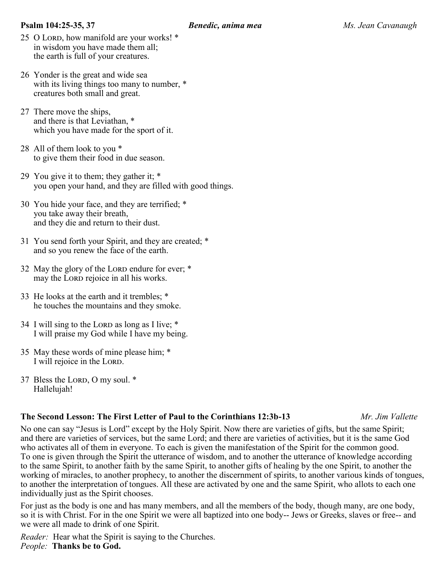- 25 O LORD, how manifold are your works! \* in wisdom you have made them all; the earth is full of your creatures.
- 26 Yonder is the great and wide sea with its living things too many to number,  $*$ creatures both small and great.
- 27 There move the ships, and there is that Leviathan, \* which you have made for the sport of it.
- 28 All of them look to you \* to give them their food in due season.
- 29 You give it to them; they gather it; \* you open your hand, and they are filled with good things.
- 30 You hide your face, and they are terrified; \* you take away their breath, and they die and return to their dust.
- 31 You send forth your Spirit, and they are created; \* and so you renew the face of the earth.
- 32 May the glory of the LORD endure for ever; \* may the LORD rejoice in all his works.
- 33 He looks at the earth and it trembles; \* he touches the mountains and they smoke.
- 34 I will sing to the LORD as long as I live;  $*$ I will praise my God while I have my being.
- 35 May these words of mine please him; \* I will rejoice in the LORD.
- 37 Bless the LORD, O my soul. \* Hallelujah!

# **The Second Lesson: The First Letter of Paul to the Corinthians 12:3b-13** *Mr. Jim Vallette*

No one can say "Jesus is Lord" except by the Holy Spirit. Now there are varieties of gifts, but the same Spirit; and there are varieties of services, but the same Lord; and there are varieties of activities, but it is the same God who activates all of them in everyone. To each is given the manifestation of the Spirit for the common good. To one is given through the Spirit the utterance of wisdom, and to another the utterance of knowledge according to the same Spirit, to another faith by the same Spirit, to another gifts of healing by the one Spirit, to another the working of miracles, to another prophecy, to another the discernment of spirits, to another various kinds of tongues, to another the interpretation of tongues. All these are activated by one and the same Spirit, who allots to each one individually just as the Spirit chooses.

For just as the body is one and has many members, and all the members of the body, though many, are one body, so it is with Christ. For in the one Spirit we were all baptized into one body-- Jews or Greeks, slaves or free-- and we were all made to drink of one Spirit.

*Reader:* Hear what the Spirit is saying to the Churches. *People:* **Thanks be to God.**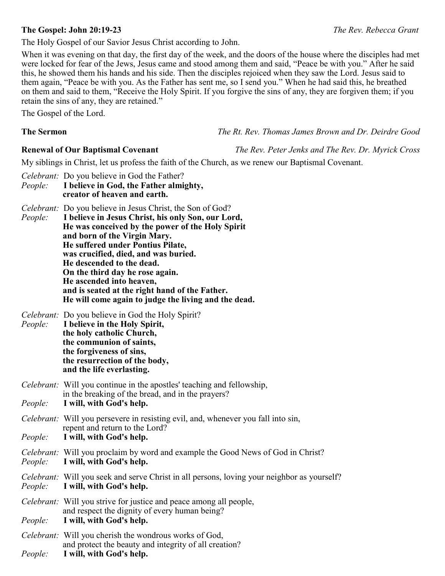## **The Gospel: John 20:19-23** *The Rev. Rebecca Grant*

The Holy Gospel of our Savior Jesus Christ according to John.

When it was evening on that day, the first day of the week, and the doors of the house where the disciples had met were locked for fear of the Jews, Jesus came and stood among them and said, "Peace be with you." After he said this, he showed them his hands and his side. Then the disciples rejoiced when they saw the Lord. Jesus said to them again, "Peace be with you. As the Father has sent me, so I send you." When he had said this, he breathed on them and said to them, "Receive the Holy Spirit. If you forgive the sins of any, they are forgiven them; if you retain the sins of any, they are retained."

The Gospel of the Lord.

# **The Sermon** *The Rt. Rev. Thomas James Brown and Dr. Deirdre Good*

**Renewal of Our Baptismal Covenant** *The Rev. Peter Jenks and The Rev. Dr. Myrick Cross*

My siblings in Christ, let us profess the faith of the Church, as we renew our Baptismal Covenant.

*Celebrant:* Do you believe in God the Father?

- *People:* **I believe in God, the Father almighty, creator of heaven and earth.**
- 
- *Celebrant:* Do you believe in Jesus Christ, the Son of God?<br>*People:* I believe in Jesus Christ, his only Son, our Lo. *People:* **I believe in Jesus Christ, his only Son, our Lord, He was conceived by the power of the Holy Spirit and born of the Virgin Mary. He suffered under Pontius Pilate, was crucified, died, and was buried. He descended to the dead. On the third day he rose again. He ascended into heaven, and is seated at the right hand of the Father. He will come again to judge the living and the dead.**
- *Celebrant:* Do you believe in God the Holy Spirit?
- *People:* **I believe in the Holy Spirit, the holy catholic Church, the communion of saints, the forgiveness of sins, the resurrection of the body, and the life everlasting.**
- *Celebrant:* Will you continue in the apostles' teaching and fellowship, in the breaking of the bread, and in the prayers?
- *People:* **I will, with God's help.**
- *Celebrant:* Will you persevere in resisting evil, and, whenever you fall into sin, repent and return to the Lord?
- *People:* **I will, with God's help.**
- *Celebrant:* Will you proclaim by word and example the Good News of God in Christ? *People:* **I will, with God's help.**
- *Celebrant:* Will you seek and serve Christ in all persons, loving your neighbor as yourself? *People:* **I will, with God's help.**
- *Celebrant:* Will you strive for justice and peace among all people, and respect the dignity of every human being?
- *People:* **I will, with God's help.**
- *Celebrant:* Will you cherish the wondrous works of God, and protect the beauty and integrity of all creation? *People:* **I will, with God's help.**
-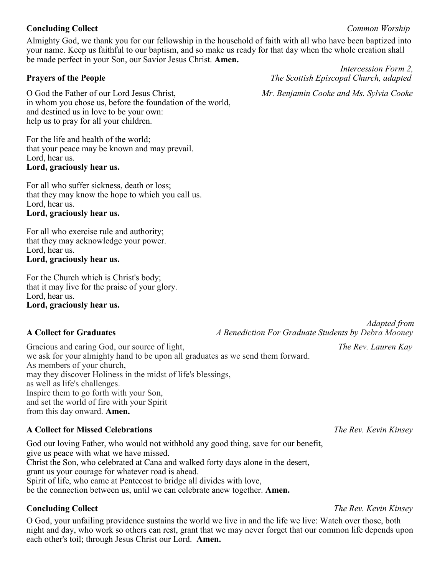# **Concluding Collect** *Common Worship*

Almighty God, we thank you for our fellowship in the household of faith with all who have been baptized into your name. Keep us faithful to our baptism, and so make us ready for that day when the whole creation shall be made perfect in your Son, our Savior Jesus Christ. **Amen.**

O God the Father of our Lord Jesus Christ, *Mr. Benjamin Cooke and Ms. Sylvia Cooke* in whom you chose us, before the foundation of the world, and destined us in love to be your own: help us to pray for all your children.

For the life and health of the world; that your peace may be known and may prevail. Lord, hear us. **Lord, graciously hear us.**

For all who suffer sickness, death or loss; that they may know the hope to which you call us. Lord, hear us. **Lord, graciously hear us.**

For all who exercise rule and authority; that they may acknowledge your power. Lord, hear us. **Lord, graciously hear us.**

For the Church which is Christ's body; that it may live for the praise of your glory. Lord, hear us. **Lord, graciously hear us.**

# **A Collect for Graduates** *A Benediction For Graduate Students by Debra Mooney*

Gracious and caring God, our source of light, *The Rev. Lauren Kay*  we ask for your almighty hand to be upon all graduates as we send them forward. As members of your church, may they discover Holiness in the midst of life's blessings, as well as life's challenges. Inspire them to go forth with your Son, and set the world of fire with your Spirit from this day onward. **Amen.**

# **A Collect for Missed Celebrations** *The Rev. Kevin Kinsey*

God our loving Father, who would not withhold any good thing, save for our benefit, give us peace with what we have missed. Christ the Son, who celebrated at Cana and walked forty days alone in the desert, grant us your courage for whatever road is ahead. Spirit of life, who came at Pentecost to bridge all divides with love, be the connection between us, until we can celebrate anew together. **Amen.**

# **Concluding Collect** *The Rev. Kevin Kinsey*

O God, your unfailing providence sustains the world we live in and the life we live: Watch over those, both night and day, who work so others can rest, grant that we may never forget that our common life depends upon each other's toil; through Jesus Christ our Lord. **Amen.**

 *Intercession Form 2,* **Prayers of the People** *The Scottish Episcopal Church, adapted*

*Adapted from*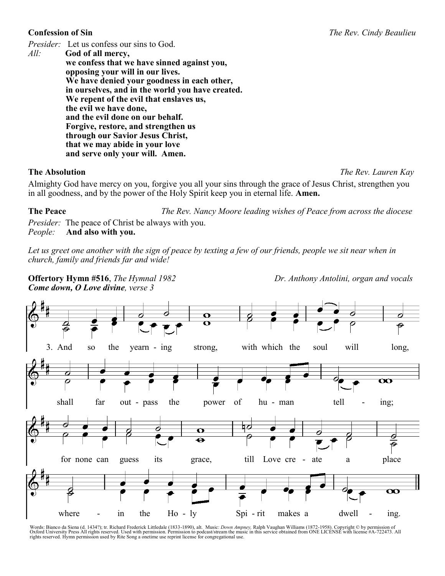*Presider:* Let us confess our sins to God. *All:* **God of all mercy, we confess that we have sinned against you, opposing your will in our lives. We have denied your goodness in each other, in ourselves, and in the world you have created. We repent of the evil that enslaves us, the evil we have done, and the evil done on our behalf. Forgive, restore, and strengthen us through our Savior Jesus Christ, that we may abide in your love and serve only your will. Amen.** 

**The Absolution** *The Rev. Lauren Kay*

Almighty God have mercy on you, forgive you all your sins through the grace of Jesus Christ, strengthen you in all goodness, and by the power of the Holy Spirit keep you in eternal life. **Amen.** 

**The Peace** *The Rev. Nancy Moore leading wishes of Peace from across the diocese Presider:* The peace of Christ be always with you.

*People:* **And also with you.**

Let us greet one another with the sign of peace by texting a few of our friends, people we sit near when in *church, family and friends far and wide!* 

**Offertory Hymn #516**, *The Hymnal 1982 Dr. Anthony Antolini, organ and vocals Come down, O Love divine, verse 3* 

 $\bullet$  $\overline{\mathbf{O}}$ 71 O G 3. And so the yearn ing strong, with which the soul will long,  $\overline{\textbf{O}}$ shall far out - pass the power of hu - man tell - ing; ╭  $\bullet$ ŕ.  $\overline{\bullet}$ ⋝ for none can guess its grace, till Love cre - ate a place  $\overline{\mathrm{co}}$ where - in the Ho-ly Spi-rit makes a dwell - ing.

Words: Bianco da Siena (d. 1434?); tr. Richard Frederick Littledale (1833-1890), alt. Music: *Down Ampney*, Ralph Vaughan Williams (1872-1958). Copyright © by permission of<br>Oxford University Press All rights reserved. Used rights reserved. Hymn permission used by Rite Song a onetime use reprint license for congregational use.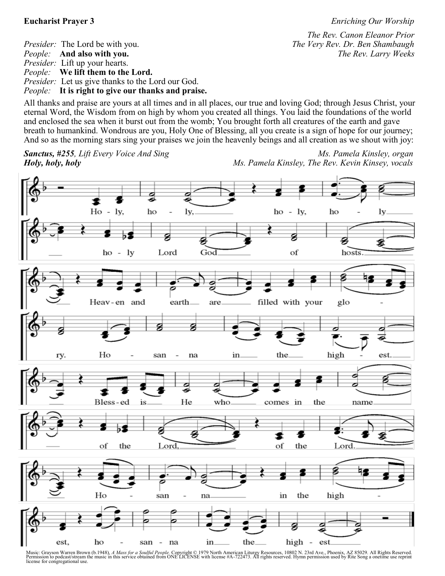**Eucharist Prayer 3** *Enriching Our Worship*

 *The Rev. Canon Eleanor Prior*

*Presider:* The Lord be with you. *The Very Rev. Dr. Ben Shambaugh People:* **And also with you.** *The Rev. Larry Weeks Presider:* Lift up your hearts. *People:* **We lift them to the Lord.** *Presider:* Let us give thanks to the Lord our God. *People:* **It is right to give our thanks and praise.**

All thanks and praise are yours at all times and in all places, our true and loving God; through Jesus Christ, your eternal Word, the Wisdom from on high by whom you created all things. You laid the foundations of the world and enclosed the sea when it burst out from the womb; You brought forth all creatures of the earth and gave breath to humankind. Wondrous are you, Holy One of Blessing, all you create is a sign of hope for our journey; And so as the morning stars sing your praises we join the heavenly beings and all creation as we shout with joy:

**Sanctus, #255***, Lift Every Voice And Sing* Ms. Pamela Kinsley, organ *Holy, holy, holy Ms. Pamela Kinsley, The Rev. Kevin Kinsey, vocals*



Music: Grayson Warren Brown (b.1948), A Mass for a Soulful People. Copyright © 1979 North American Liturgy Resources, 10802 N. 23rd Ave., Phoenix, AZ 85029. All Rights Reserved.<br>Permission to podcast/stream the music in th license for congregational use.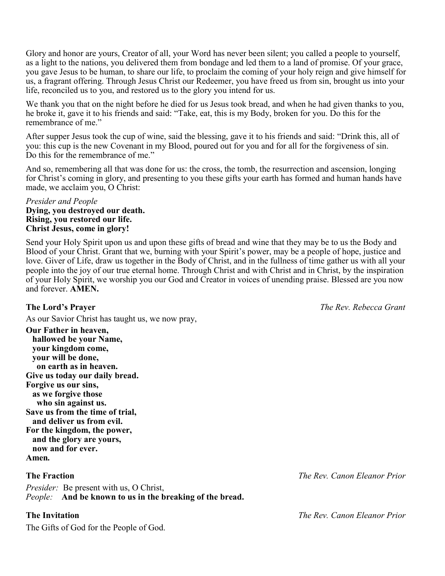Glory and honor are yours, Creator of all, your Word has never been silent; you called a people to yourself, as a light to the nations, you delivered them from bondage and led them to a land of promise. Of your grace, you gave Jesus to be human, to share our life, to proclaim the coming of your holy reign and give himself for us, a fragrant offering. Through Jesus Christ our Redeemer, you have freed us from sin, brought us into your life, reconciled us to you, and restored us to the glory you intend for us.

We thank you that on the night before he died for us Jesus took bread, and when he had given thanks to you, he broke it, gave it to his friends and said: "Take, eat, this is my Body, broken for you. Do this for the remembrance of me."

After supper Jesus took the cup of wine, said the blessing, gave it to his friends and said: "Drink this, all of you: this cup is the new Covenant in my Blood, poured out for you and for all for the forgiveness of sin. Do this for the remembrance of me."

And so, remembering all that was done for us: the cross, the tomb, the resurrection and ascension, longing for Christ's coming in glory, and presenting to you these gifts your earth has formed and human hands have made, we acclaim you, O Christ:

### *Presider and People*  **Dying, you destroyed our death. Rising, you restored our life. Christ Jesus, come in glory!**

Send your Holy Spirit upon us and upon these gifts of bread and wine that they may be to us the Body and Blood of your Christ. Grant that we, burning with your Spirit's power, may be a people of hope, justice and love. Giver of Life, draw us together in the Body of Christ, and in the fullness of time gather us with all your people into the joy of our true eternal home. Through Christ and with Christ and in Christ, by the inspiration of your Holy Spirit, we worship you our God and Creator in voices of unending praise. Blessed are you now and forever. **AMEN.**

**The Lord's Prayer** *The Rev. Rebecca Grant*

As our Savior Christ has taught us, we now pray,

**Our Father in heaven, hallowed be your Name, your kingdom come, your will be done, on earth as in heaven. Give us today our daily bread. Forgive us our sins, as we forgive those who sin against us. Save us from the time of trial, and deliver us from evil. For the kingdom, the power, and the glory are yours, now and for ever. Amen***.*

*Presider:* Be present with us, O Christ, *People:* **And be known to us in the breaking of the bread.**

The Gifts of God for the People of God.

**The Fraction** *The Rev. Canon Eleanor Prior* 

**The Invitation** *The Rev. Canon Eleanor Prior*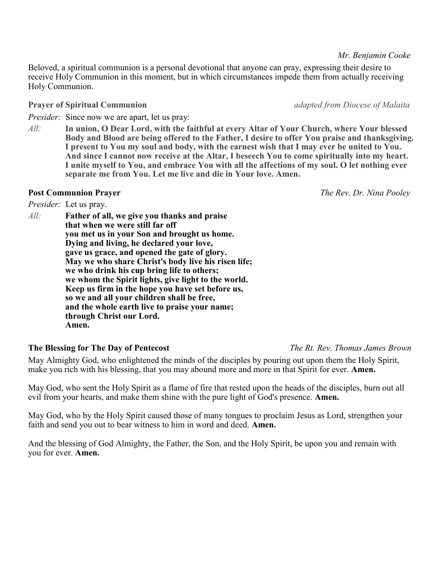*Mr. Benjamin Cooke*

Beloved, a spiritual communion is a personal devotional that anyone can pray, expressing their desire to receive Holy Communion in this moment, but in which circumstances impede them from actually receiving Holy Communion.

**Prayer of Spiritual Communion** *adapted from Diocese of Malaita*

*Presider:* Since now we are apart, let us pray:

*All:* **In union, O Dear Lord, with the faithful at every Altar of Your Church, where Your blessed Body and Blood are being offered to the Father, I desire to offer You praise and thanksgiving. I present to You my soul and body, with the earnest wish that I may ever be united to You. And since I cannot now receive at the Altar, I beseech You to come spiritually into my heart. I unite myself to You, and embrace You with all the affections of my soul. O let nothing ever separate me from You. Let me live and die in Your love. Amen.**

### **Post Communion Prayer** *The Rev. Dr. Nina Pooley*

*Presider:* Let us pray.

*All:* **Father of all, we give you thanks and praise that when we were still far off you met us in your Son and brought us home. Dying and living, he declared your love, gave us grace, and opened the gate of glory. May we who share Christ's body live his risen life; we who drink his cup bring life to others; we whom the Spirit lights, give light to the world. Keep us firm in the hope you have set before us, so we and all your children shall be free, and the whole earth live to praise your name; through Christ our Lord. Amen.**

# **The Blessing for The Day of Pentecost** *The Rt. Rev. Thomas James Brown*

May Almighty God, who enlightened the minds of the disciples by pouring out upon them the Holy Spirit, make you rich with his blessing, that you may abound more and more in that Spirit for ever. **Amen.**

May God, who sent the Holy Spirit as a flame of fire that rested upon the heads of the disciples, burn out all evil from your hearts, and make them shine with the pure light of God's presence. **Amen.**

May God, who by the Holy Spirit caused those of many tongues to proclaim Jesus as Lord, strengthen your faith and send you out to bear witness to him in word and deed. **Amen.**

And the blessing of God Almighty, the Father, the Son, and the Holy Spirit, be upon you and remain with you for ever. **Amen.**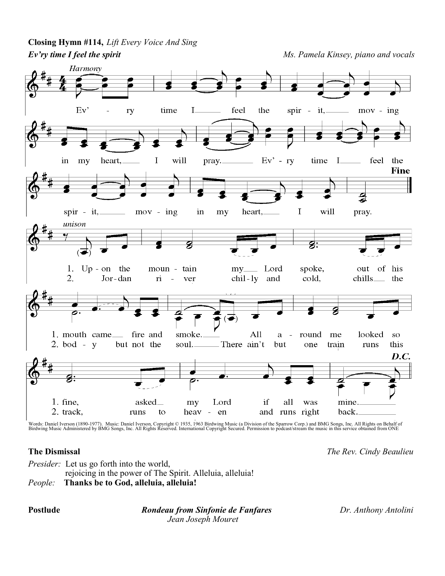**Closing Hymn #114,** *Lift Every Voice And Sing Ev'ry time I feel the spirit Ms. Pamela Kinsey, piano and vocals* 



Words: Daniel Iverson (1890-1977). Music: Daniel Iverson, Copyright © 1935, 1963 Birdwing Music (a Division of the Sparrow Corp.) and BMG Songs, Inc. All Rights on Behalf of<br>Birdwing Music Administered by BMG Songs, Inc.

**The Dismissal** *The Rev. Cindy Beaulieu*

*Presider:* Let us go forth into the world, rejoicing in the power of The Spirit. Alleluia, alleluia! *People:* **Thanks be to God, alleluia, alleluia!** 

**Postlude** *Rondeau from Sinfonie de Fanfares Dr. Anthony Antolini Jean Joseph Mouret*